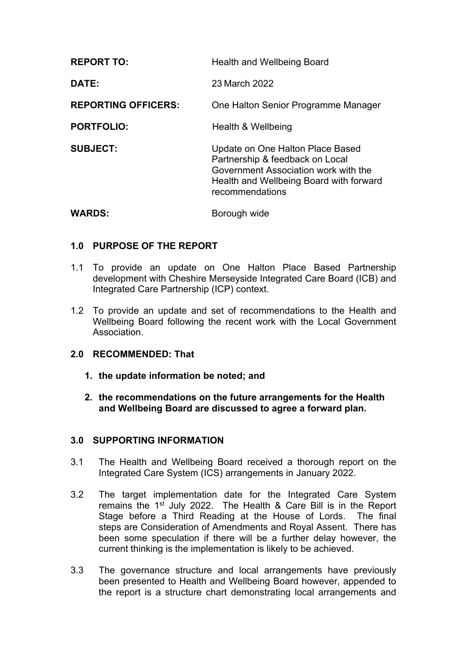| <b>REPORT TO:</b>          | <b>Health and Wellbeing Board</b>                                                                                                                                         |
|----------------------------|---------------------------------------------------------------------------------------------------------------------------------------------------------------------------|
| DATE:                      | 23 March 2022                                                                                                                                                             |
| <b>REPORTING OFFICERS:</b> | One Halton Senior Programme Manager                                                                                                                                       |
| <b>PORTFOLIO:</b>          | Health & Wellbeing                                                                                                                                                        |
| <b>SUBJECT:</b>            | Update on One Halton Place Based<br>Partnership & feedback on Local<br>Government Association work with the<br>Health and Wellbeing Board with forward<br>recommendations |
| <b>WARDS:</b>              | Borough wide                                                                                                                                                              |

# **1.0 PURPOSE OF THE REPORT**

- 1.1 To provide an update on One Halton Place Based Partnership development with Cheshire Merseyside Integrated Care Board (ICB) and Integrated Care Partnership (ICP) context.
- 1.2 To provide an update and set of recommendations to the Health and Wellbeing Board following the recent work with the Local Government Association.

# **2.0 RECOMMENDED: That**

- **1. the update information be noted; and**
- **2. the recommendations on the future arrangements for the Health and Wellbeing Board are discussed to agree a forward plan.**

# **3.0 SUPPORTING INFORMATION**

- 3.1 The Health and Wellbeing Board received a thorough report on the Integrated Care System (ICS) arrangements in January 2022.
- 3.2 The target implementation date for the Integrated Care System remains the  $1<sup>st</sup>$  July 2022. The Health & Care Bill is in the Report Stage before a Third Reading at the House of Lords. The final steps are Consideration of Amendments and Royal Assent. There has been some speculation if there will be a further delay however, the current thinking is the implementation is likely to be achieved.
- 3.3 The governance structure and local arrangements have previously been presented to Health and Wellbeing Board however, appended to the report is a structure chart demonstrating local arrangements and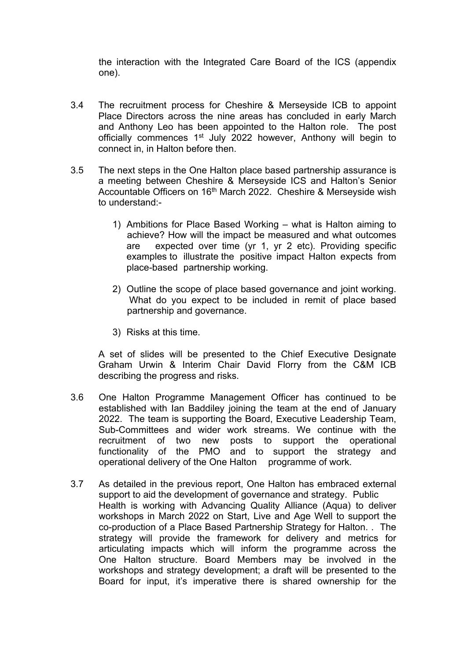the interaction with the Integrated Care Board of the ICS (appendix one).

- 3.4 The recruitment process for Cheshire & Merseyside ICB to appoint Place Directors across the nine areas has concluded in early March and Anthony Leo has been appointed to the Halton role. The post officially commences 1<sup>st</sup> July 2022 however, Anthony will begin to connect in, in Halton before then.
- 3.5 The next steps in the One Halton place based partnership assurance is a meeting between Cheshire & Merseyside ICS and Halton's Senior Accountable Officers on 16<sup>th</sup> March 2022. Cheshire & Merseyside wish to understand:-
	- 1) Ambitions for Place Based Working what is Halton aiming to achieve? How will the impact be measured and what outcomes are expected over time (yr 1, yr 2 etc). Providing specific examples to illustrate the positive impact Halton expects from place-based partnership working.
	- 2) Outline the scope of place based governance and joint working. What do you expect to be included in remit of place based partnership and governance.
	- 3) Risks at this time.

A set of slides will be presented to the Chief Executive Designate Graham Urwin & Interim Chair David Florry from the C&M ICB describing the progress and risks.

- 3.6 One Halton Programme Management Officer has continued to be established with Ian Baddiley joining the team at the end of January 2022. The team is supporting the Board, Executive Leadership Team, Sub-Committees and wider work streams. We continue with the recruitment of two new posts to support the operational functionality of the PMO and to support the strategy and operational delivery of the One Halton programme of work.
- 3.7 As detailed in the previous report, One Halton has embraced external support to aid the development of governance and strategy. Public Health is working with Advancing Quality Alliance (Aqua) to deliver workshops in March 2022 on Start, Live and Age Well to support the co-production of a Place Based Partnership Strategy for Halton. . The strategy will provide the framework for delivery and metrics for articulating impacts which will inform the programme across the One Halton structure. Board Members may be involved in the workshops and strategy development; a draft will be presented to the Board for input, it's imperative there is shared ownership for the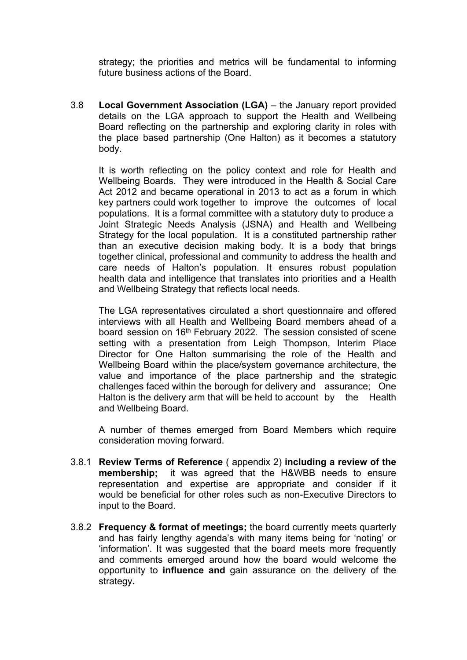strategy; the priorities and metrics will be fundamental to informing future business actions of the Board.

3.8 **Local Government Association (LGA)** – the January report provided details on the LGA approach to support the Health and Wellbeing Board reflecting on the partnership and exploring clarity in roles with the place based partnership (One Halton) as it becomes a statutory body.

It is worth reflecting on the policy context and role for Health and Wellbeing Boards. They were introduced in the Health & Social Care Act 2012 and became operational in 2013 to act as a forum in which key partners could work together to improve the outcomes of local populations. It is a formal committee with a statutory duty to produce a Joint Strategic Needs Analysis (JSNA) and Health and Wellbeing Strategy for the local population. It is a constituted partnership rather than an executive decision making body. It is a body that brings together clinical, professional and community to address the health and care needs of Halton's population. It ensures robust population health data and intelligence that translates into priorities and a Health and Wellbeing Strategy that reflects local needs.

The LGA representatives circulated a short questionnaire and offered interviews with all Health and Wellbeing Board members ahead of a board session on 16<sup>th</sup> February 2022. The session consisted of scene setting with a presentation from Leigh Thompson, Interim Place Director for One Halton summarising the role of the Health and Wellbeing Board within the place/system governance architecture, the value and importance of the place partnership and the strategic challenges faced within the borough for delivery and assurance; One Halton is the delivery arm that will be held to account by the Health and Wellbeing Board.

A number of themes emerged from Board Members which require consideration moving forward.

- 3.8.1 **Review Terms of Reference** ( appendix 2) **including a review of the membership;** it was agreed that the H&WBB needs to ensure representation and expertise are appropriate and consider if it would be beneficial for other roles such as non-Executive Directors to input to the Board.
- 3.8.2 **Frequency & format of meetings;** the board currently meets quarterly and has fairly lengthy agenda's with many items being for 'noting' or 'information'. It was suggested that the board meets more frequently and comments emerged around how the board would welcome the opportunity to **influence and** gain assurance on the delivery of the strategy**.**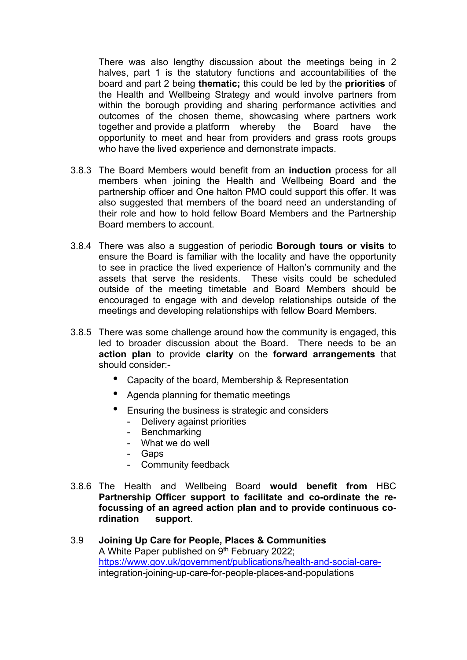There was also lengthy discussion about the meetings being in 2 halves, part 1 is the statutory functions and accountabilities of the board and part 2 being **thematic;** this could be led by the **priorities** of the Health and Wellbeing Strategy and would involve partners from within the borough providing and sharing performance activities and outcomes of the chosen theme, showcasing where partners work together and provide a platform whereby the Board have the opportunity to meet and hear from providers and grass roots groups who have the lived experience and demonstrate impacts.

- 3.8.3 The Board Members would benefit from an **induction** process for all members when joining the Health and Wellbeing Board and the partnership officer and One halton PMO could support this offer. It was also suggested that members of the board need an understanding of their role and how to hold fellow Board Members and the Partnership Board members to account.
- 3.8.4 There was also a suggestion of periodic **Borough tours or visits** to ensure the Board is familiar with the locality and have the opportunity to see in practice the lived experience of Halton's community and the assets that serve the residents. These visits could be scheduled outside of the meeting timetable and Board Members should be encouraged to engage with and develop relationships outside of the meetings and developing relationships with fellow Board Members.
- 3.8.5 There was some challenge around how the community is engaged, this led to broader discussion about the Board. There needs to be an **action plan** to provide **clarity** on the **forward arrangements** that should consider:-
	- Capacity of the board, Membership & Representation
	- Agenda planning for thematic meetings
	- Ensuring the business is strategic and considers
		- Delivery against priorities
		- Benchmarking
		- What we do well
		- Gaps
		- Community feedback
- 3.8.6 The Health and Wellbeing Board **would benefit from** HBC **Partnership Officer support to facilitate and co-ordinate the refocussing of an agreed action plan and to provide continuous cordination support**.
- 3.9 **Joining Up Care for People, Places & Communities** A White Paper published on 9<sup>th</sup> February 2022; [https://www.gov.uk/government/publications/health-and-social-care](https://www.gov.uk/government/publications/health-and-social-care-)integration-joining-up-care-for-people-places-and-populations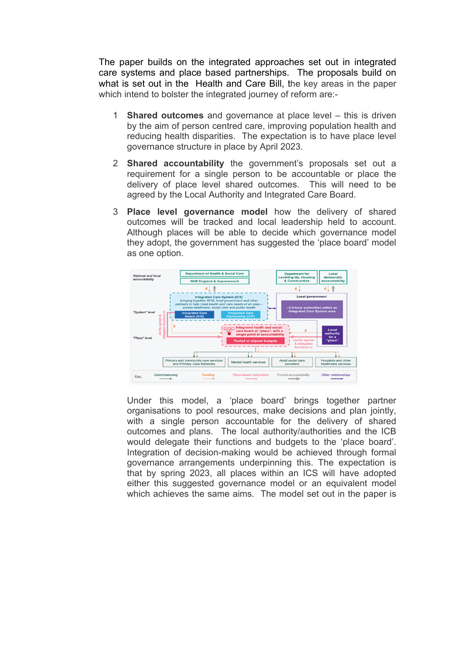The paper builds on the integrated approaches set out in integrated care systems and place based partnerships. The proposals build on what is set out in the Health and Care Bill, the key areas in the paper which intend to bolster the integrated journey of reform are:-

- 1 **Shared outcomes** and governance at place level this is driven by the aim of person centred care, improving population health and reducing health disparities. The expectation is to have place level governance structure in place by April 2023.
- 2 **Shared accountability** the government's proposals set out a requirement for a single person to be accountable or place the delivery of place level shared outcomes. This will need to be agreed by the Local Authority and Integrated Care Board.
- 3 **Place level governance model** how the delivery of shared outcomes will be tracked and local leadership held to account. Although places will be able to decide which governance model they adopt, the government has suggested the 'place board' model as one option.



Under this model, a 'place board' brings together partner organisations to pool resources, make decisions and plan jointly, with a single person accountable for the delivery of shared outcomes and plans. The local authority/authorities and the ICB would delegate their functions and budgets to the 'place board'. Integration of decision-making would be achieved through formal governance arrangements underpinning this. The expectation is that by spring 2023, all places within an ICS will have adopted either this suggested governance model or an equivalent model which achieves the same aims. The model set out in the paper is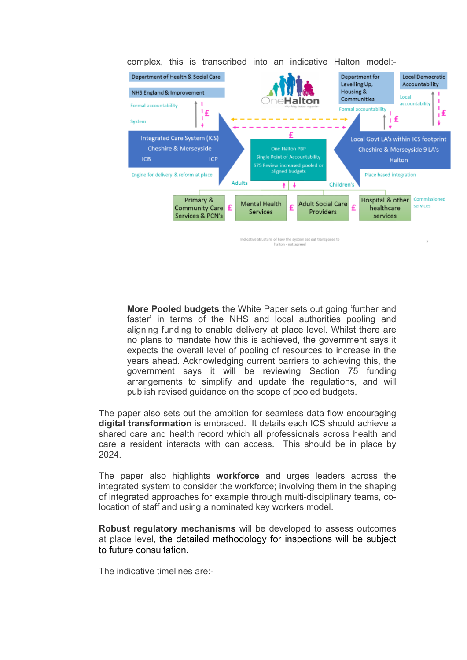

complex, this is transcribed into an indicative Halton model:-

**More Pooled budgets t**he White Paper sets out going 'further and faster' in terms of the NHS and local authorities pooling and aligning funding to enable delivery at place level. Whilst there are no plans to mandate how this is achieved, the government says it expects the overall level of pooling of resources to increase in the years ahead. Acknowledging current barriers to achieving this, the government says it will be reviewing Section 75 funding arrangements to simplify and update the regulations, and will publish revised guidance on the scope of pooled budgets.

The paper also sets out the ambition for seamless data flow encouraging **digital transformation** is embraced. It details each ICS should achieve a shared care and health record which all professionals across health and care a resident interacts with can access. This should be in place by 2024.

The paper also highlights **workforce** and urges leaders across the integrated system to consider the workforce; involving them in the shaping of integrated approaches for example through multi-disciplinary teams, colocation of staff and using a nominated key workers model.

**Robust regulatory mechanisms** will be developed to assess outcomes at place level, the detailed methodology for inspections will be subject to future consultation.

The indicative timelines are:-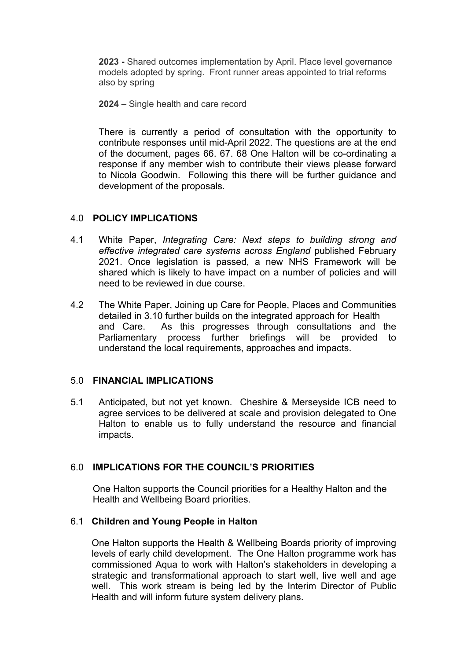**2023 -** Shared outcomes implementation by April. Place level governance models adopted by spring. Front runner areas appointed to trial reforms also by spring

**2024 –** Single health and care record

There is currently a period of consultation with the opportunity to contribute responses until mid-April 2022. The questions are at the end of the document, pages 66. 67. 68 One Halton will be co-ordinating a response if any member wish to contribute their views please forward to Nicola Goodwin. Following this there will be further guidance and development of the proposals.

# 4.0 **POLICY IMPLICATIONS**

- 4.1 White Paper, *Integrating Care: Next steps to building strong and effective integrated care systems across England* published February 2021. Once legislation is passed, a new NHS Framework will be shared which is likely to have impact on a number of policies and will need to be reviewed in due course.
- 4.2 The White Paper, Joining up Care for People, Places and Communities detailed in 3.10 further builds on the integrated approach for Health and Care. As this progresses through consultations and the Parliamentary process further briefings will be provided to understand the local requirements, approaches and impacts.

# 5.0 **FINANCIAL IMPLICATIONS**

5.1 Anticipated, but not yet known. Cheshire & Merseyside ICB need to agree services to be delivered at scale and provision delegated to One Halton to enable us to fully understand the resource and financial impacts.

# 6.0 **IMPLICATIONS FOR THE COUNCIL'S PRIORITIES**

One Halton supports the Council priorities for a Healthy Halton and the Health and Wellbeing Board priorities.

# 6.1 **Children and Young People in Halton**

One Halton supports the Health & Wellbeing Boards priority of improving levels of early child development. The One Halton programme work has commissioned Aqua to work with Halton's stakeholders in developing a strategic and transformational approach to start well, live well and age well. This work stream is being led by the Interim Director of Public Health and will inform future system delivery plans.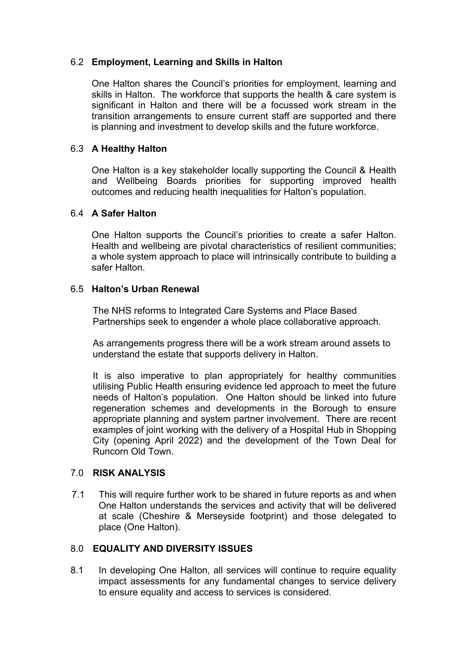# 6.2 **Employment, Learning and Skills in Halton**

One Halton shares the Council's priorities for employment, learning and skills in Halton. The workforce that supports the health & care system is significant in Halton and there will be a focussed work stream in the transition arrangements to ensure current staff are supported and there is planning and investment to develop skills and the future workforce.

# 6.3 **A Healthy Halton**

One Halton is a key stakeholder locally supporting the Council & Health and Wellbeing Boards priorities for supporting improved health outcomes and reducing health inequalities for Halton's population.

# 6.4 **A Safer Halton**

One Halton supports the Council's priorities to create a safer Halton. Health and wellbeing are pivotal characteristics of resilient communities; a whole system approach to place will intrinsically contribute to building a safer Halton.

# 6.5 **Halton's Urban Renewal**

The NHS reforms to Integrated Care Systems and Place Based Partnerships seek to engender a whole place collaborative approach.

As arrangements progress there will be a work stream around assets to understand the estate that supports delivery in Halton.

It is also imperative to plan appropriately for healthy communities utilising Public Health ensuring evidence led approach to meet the future needs of Halton's population. One Halton should be linked into future regeneration schemes and developments in the Borough to ensure appropriate planning and system partner involvement. There are recent examples of joint working with the delivery of a Hospital Hub in Shopping City (opening April 2022) and the development of the Town Deal for Runcorn Old Town.

# 7.0 **RISK ANALYSIS**

7.1 This will require further work to be shared in future reports as and when One Halton understands the services and activity that will be delivered at scale (Cheshire & Merseyside footprint) and those delegated to place (One Halton).

# 8.0 **EQUALITY AND DIVERSITY ISSUES**

8.1 In developing One Halton, all services will continue to require equality impact assessments for any fundamental changes to service delivery to ensure equality and access to services is considered.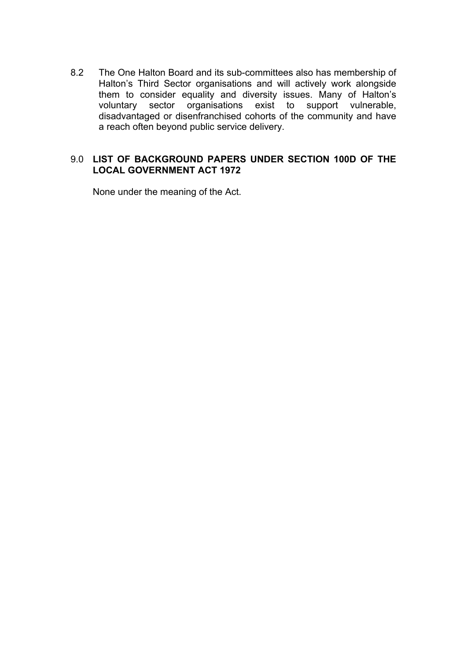8.2 The One Halton Board and its sub-committees also has membership of Halton's Third Sector organisations and will actively work alongside them to consider equality and diversity issues. Many of Halton's voluntary sector organisations exist to support vulnerable, disadvantaged or disenfranchised cohorts of the community and have a reach often beyond public service delivery.

# 9.0 **LIST OF BACKGROUND PAPERS UNDER SECTION 100D OF THE LOCAL GOVERNMENT ACT 1972**

None under the meaning of the Act.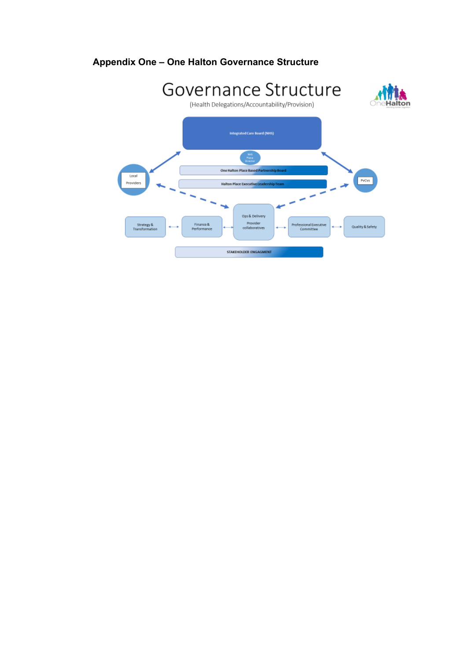# **Appendix One – One Halton Governance Structure**

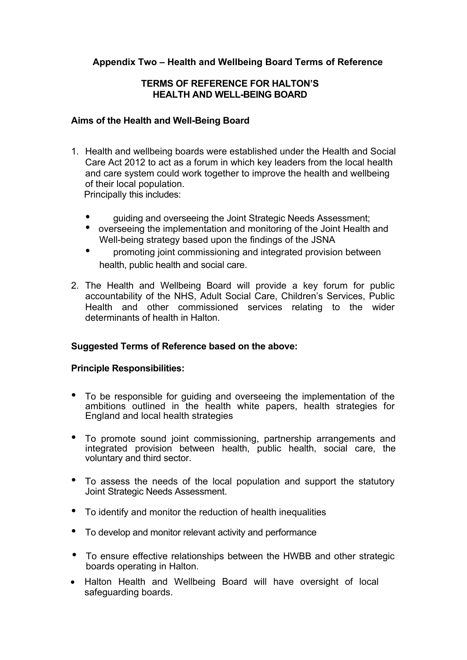# **Appendix Two – Health and Wellbeing Board Terms of Reference**

# **TERMS OF REFERENCE FOR HALTON'S HEALTH AND WELL-BEING BOARD**

## **Aims of the Health and Well-Being Board**

1. Health and wellbeing boards were established under the Health and Social Care Act 2012 to act as a forum in which key leaders from the local health and care system could work together to improve the health and wellbeing of their local population.

Principally this includes:

- guiding and overseeing the Joint Strategic Needs Assessment;
- overseeing the implementation and monitoring of the Joint Health and Well-being strategy based upon the findings of the JSNA
- promoting joint commissioning and integrated provision between health, public health and social care.
- 2. The Health and Wellbeing Board will provide a key forum for public accountability of the NHS, Adult Social Care, Children's Services, Public Health and other commissioned services relating to the wider determinants of health in Halton.

# **Suggested Terms of Reference based on the above:**

# **Principle Responsibilities:**

- To be responsible for guiding and overseeing the implementation of the ambitions outlined in the health white papers, health strategies for England and local health strategies
- To promote sound joint commissioning, partnership arrangements and integrated provision between health, public health, social care, the voluntary and third sector.
- To assess the needs of the local population and support the statutory Joint Strategic Needs Assessment.
- To identify and monitor the reduction of health inequalities
- To develop and monitor relevant activity and performance
- To ensure effective relationships between the HWBB and other strategic boards operating in Halton.
- Halton Health and Wellbeing Board will have oversight of local safeguarding boards.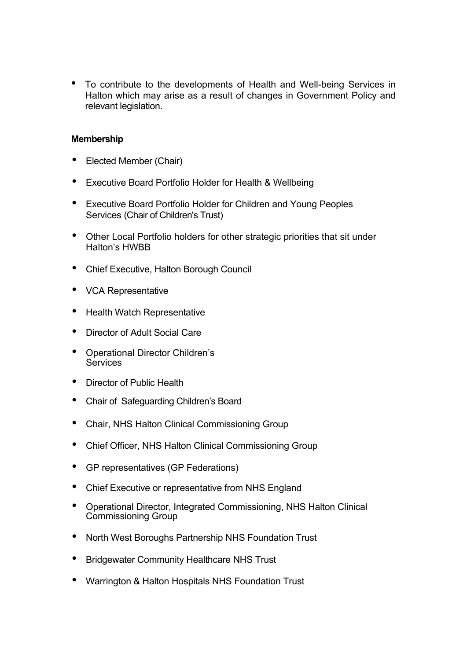• To contribute to the developments of Health and Well-being Services in Halton which may arise as a result of changes in Government Policy and relevant legislation.

# **Membership**

- Elected Member (Chair)
- Executive Board Portfolio Holder for Health & Wellbeing
- Executive Board Portfolio Holder for Children and Young Peoples Services (Chair of Children's Trust)
- Other Local Portfolio holders for other strategic priorities that sit under Halton's HWBB
- Chief Executive, Halton Borough Council
- VCA Representative
- Health Watch Representative
- Director of Adult Social Care
- Operational Director Children's **Services**
- Director of Public Health
- Chair of Safeguarding Children's Board
- Chair, NHS Halton Clinical Commissioning Group
- Chief Officer, NHS Halton Clinical Commissioning Group
- GP representatives (GP Federations)
- Chief Executive or representative from NHS England
- Operational Director, Integrated Commissioning, NHS Halton Clinical Commissioning Group
- North West Boroughs Partnership NHS Foundation Trust
- Bridgewater Community Healthcare NHS Trust
- Warrington & Halton Hospitals NHS Foundation Trust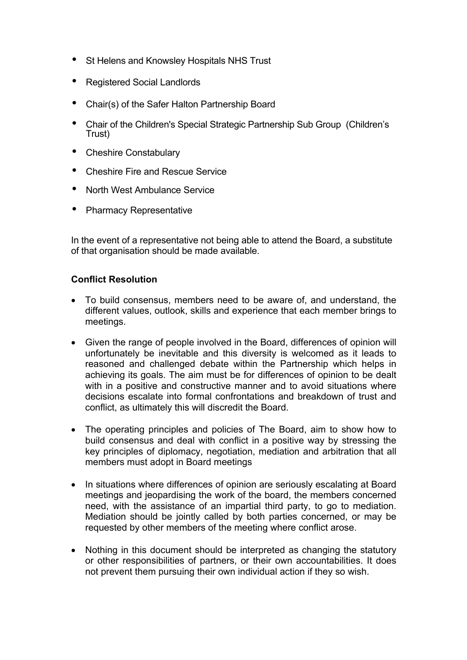- St Helens and Knowsley Hospitals NHS Trust
- Registered Social Landlords
- Chair(s) of the Safer Halton Partnership Board
- Chair of the Children's Special Strategic Partnership Sub Group (Children's Trust)
- Cheshire Constabulary
- Cheshire Fire and Rescue Service
- North West Ambulance Service
- Pharmacy Representative

In the event of a representative not being able to attend the Board, a substitute of that organisation should be made available.

# **Conflict Resolution**

- To build consensus, members need to be aware of, and understand, the different values, outlook, skills and experience that each member brings to meetings.
- Given the range of people involved in the Board, differences of opinion will unfortunately be inevitable and this diversity is welcomed as it leads to reasoned and challenged debate within the Partnership which helps in achieving its goals. The aim must be for differences of opinion to be dealt with in a positive and constructive manner and to avoid situations where decisions escalate into formal confrontations and breakdown of trust and conflict, as ultimately this will discredit the Board.
- The operating principles and policies of The Board, aim to show how to build consensus and deal with conflict in a positive way by stressing the key principles of diplomacy, negotiation, mediation and arbitration that all members must adopt in Board meetings
- In situations where differences of opinion are seriously escalating at Board meetings and jeopardising the work of the board, the members concerned need, with the assistance of an impartial third party, to go to mediation. Mediation should be jointly called by both parties concerned, or may be requested by other members of the meeting where conflict arose.
- Nothing in this document should be interpreted as changing the statutory or other responsibilities of partners, or their own accountabilities. It does not prevent them pursuing their own individual action if they so wish.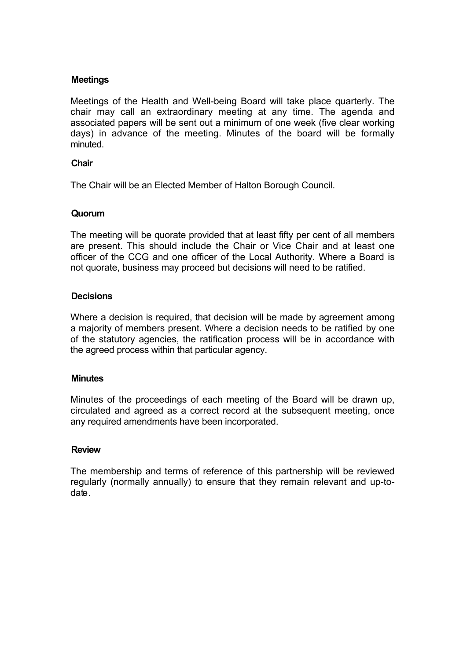## **Meetings**

Meetings of the Health and Well-being Board will take place quarterly. The chair may call an extraordinary meeting at any time. The agenda and associated papers will be sent out a minimum of one week (five clear working days) in advance of the meeting. Minutes of the board will be formally minuted.

#### **Chair**

The Chair will be an Elected Member of Halton Borough Council.

#### **Quorum**

The meeting will be quorate provided that at least fifty per cent of all members are present. This should include the Chair or Vice Chair and at least one officer of the CCG and one officer of the Local Authority. Where a Board is not quorate, business may proceed but decisions will need to be ratified.

#### **Decisions**

Where a decision is required, that decision will be made by agreement among a majority of members present. Where a decision needs to be ratified by one of the statutory agencies, the ratification process will be in accordance with the agreed process within that particular agency.

#### **Minutes**

Minutes of the proceedings of each meeting of the Board will be drawn up, circulated and agreed as a correct record at the subsequent meeting, once any required amendments have been incorporated.

#### **Review**

The membership and terms of reference of this partnership will be reviewed regularly (normally annually) to ensure that they remain relevant and up-todate.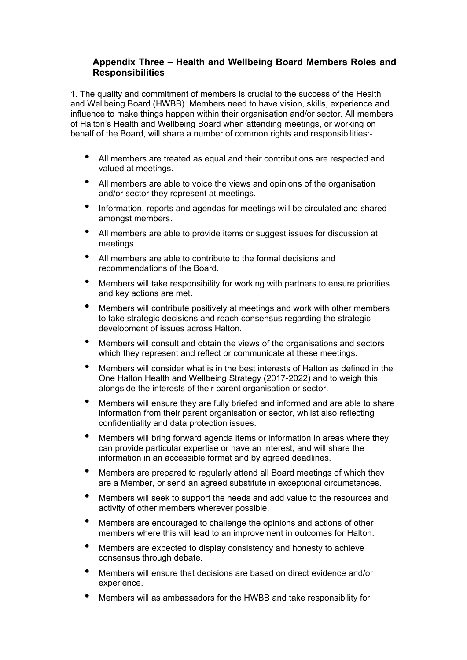## **Appendix Three – Health and Wellbeing Board Members Roles and Responsibilities**

1. The quality and commitment of members is crucial to the success of the Health and Wellbeing Board (HWBB). Members need to have vision, skills, experience and influence to make things happen within their organisation and/or sector. All members of Halton's Health and Wellbeing Board when attending meetings, or working on behalf of the Board, will share a number of common rights and responsibilities:-

- All members are treated as equal and their contributions are respected and valued at meetings.
- All members are able to voice the views and opinions of the organisation and/or sector they represent at meetings.
- Information, reports and agendas for meetings will be circulated and shared amongst members.
- All members are able to provide items or suggest issues for discussion at meetings.
- All members are able to contribute to the formal decisions and recommendations of the Board.
- Members will take responsibility for working with partners to ensure priorities and key actions are met.
- Members will contribute positively at meetings and work with other members to take strategic decisions and reach consensus regarding the strategic development of issues across Halton.
- Members will consult and obtain the views of the organisations and sectors which they represent and reflect or communicate at these meetings.
- Members will consider what is in the best interests of Halton as defined in the One Halton Health and Wellbeing Strategy (2017-2022) and to weigh this alongside the interests of their parent organisation or sector.
- Members will ensure they are fully briefed and informed and are able to share information from their parent organisation or sector, whilst also reflecting confidentiality and data protection issues.
- Members will bring forward agenda items or information in areas where they can provide particular expertise or have an interest, and will share the information in an accessible format and by agreed deadlines.
- Members are prepared to regularly attend all Board meetings of which they are a Member, or send an agreed substitute in exceptional circumstances.
- Members will seek to support the needs and add value to the resources and activity of other members wherever possible.
- Members are encouraged to challenge the opinions and actions of other members where this will lead to an improvement in outcomes for Halton.
- Members are expected to display consistency and honesty to achieve consensus through debate.
- Members will ensure that decisions are based on direct evidence and/or experience.
- Members will as ambassadors for the HWBB and take responsibility for